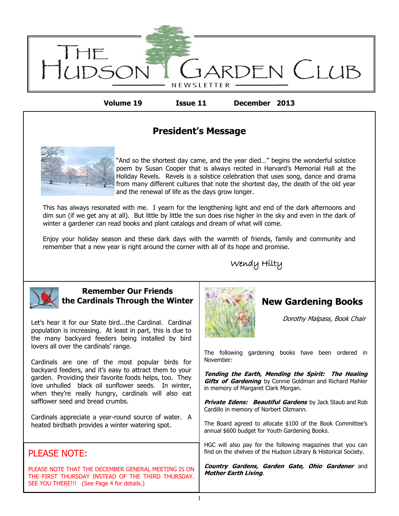

**Volume 19 Issue 11 December 2013**

## **President's Message**



"And so the shortest day came, and the year died…" begins the wonderful solstice poem by Susan Cooper that is always recited in Harvard's Memorial Hall at the Holiday Revels. Revels is a solstice celebration that uses song, dance and drama from many different cultures that note the shortest day, the death of the old year and the renewal of life as the days grow longer.

This has always resonated with me. I yearn for the lengthening light and end of the dark afternoons and dim sun (if we get any at all). But little by little the sun does rise higher in the sky and even in the dark of winter a gardener can read books and plant catalogs and dream of what will come.

Enjoy your holiday season and these dark days with the warmth of friends, family and community and remember that a new year is right around the corner with all of its hope and promise.





#### **Remember Our Friends the Cardinals Through the Winter**

Let's hear it for our State bird...the Cardinal. Cardinal population is increasing. At least in part, this is due to the many backyard feeders being installed by bird lovers all over the cardinals' range.

Cardinals are one of the most popular birds for backyard feeders, and it's easy to attract them to your garden. Providing their favorite foods helps, too. They love unhulled black oil sunflower seeds. In winter, when they're really hungry, cardinals will also eat safflower seed and bread crumbs.

Cardinals appreciate a year-round source of water. A heated birdbath provides a winter watering spot.

## PLEASE NOTE:

PLEASE NOTE THAT THE DECEMBER GENERAL MEETING IS ON THE FIRST THURSDAY INSTEAD OF THE THIRD THURSDAY. SEE YOU THERE!!! (See Page 4 for details.)



# **New Gardening Books**

Dorothy Malpass, Book Chair

The following gardening books have been ordered in November:

**Tending the Earth, Mending the Spirit: The Healing Gifts of Gardening** by Connie Goldman and Richard Mahler in memory of Margaret Clark Morgan.

**Private Edens: Beautiful Gardens** by Jack Staub and Rob Cardillo in memory of Norbert Olzmann.

The Board agreed to allocate \$100 of the Book Committee's annual \$600 budget for Youth Gardening Books.

HGC will also pay for the following magazines that you can find on the shelves of the Hudson Library & Historical Society.

**Country Gardens, Garden Gate, Ohio Gardener** and **Mother Earth Living**.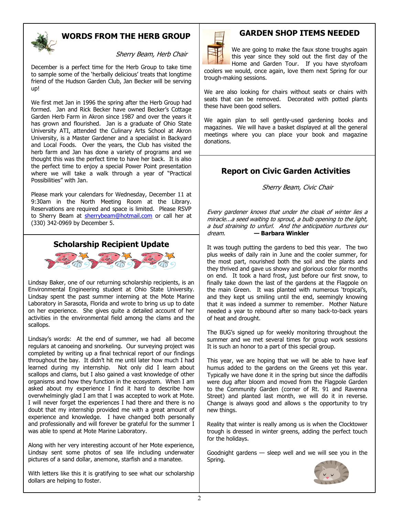

### **WORDS FROM THE HERB GROUP**

Sherry Beam, Herb Chair

December is a perfect time for the Herb Group to take time to sample some of the 'herbally delicious' treats that longtime friend of the Hudson Garden Club, Jan Becker will be serving up!

We first met Jan in 1996 the spring after the Herb Group had formed. Jan and Rick Becker have owned Becker's Cottage Garden Herb Farm in Akron since 1987 and over the years it has grown and flourished. Jan is a graduate of Ohio State University ATI, attended the Culinary Arts School at Akron University, is a Master Gardener and a specialist in Backyard and Local Foods. Over the years, the Club has visited the herb farm and Jan has done a variety of programs and we thought this was the perfect time to have her back. It is also the perfect time to enjoy a special Power Point presentation where we will take a walk through a year of "Practical Possibilities" with Jan.

Please mark your calendars for Wednesday, December 11 at 9:30am in the North Meeting Room at the Library. Reservations are required and space is limited. Please RSVP to Sherry Beam at [sherrybeam@hotmail.com](mailto:sherrybeam@hotmail.com) or call her at (330) 342-0969 by December 5.





Lindsay Baker, one of our returning scholarship recipients, is an Environmental Engineering student at Ohio State University. Lindsay spent the past summer interning at the Mote Marine Laboratory in Sarasota, Florida and wrote to bring us up to date on her experience. She gives quite a detailed account of her activities in the environmental field among the clams and the scallops.

Lindsay's words: At the end of summer, we had all become regulars at canoeing and snorkeling. Our surveying project was completed by writing up a final technical report of our findings throughout the bay. It didn't hit me until later how much I had learned during my internship. Not only did I learn about scallops and clams, but I also gained a vast knowledge of other organisms and how they function in the ecosystem. When I am asked about my experience I find it hard to describe how overwhelmingly glad I am that I was accepted to work at Mote. I will never forget the experiences I had there and there is no doubt that my internship provided me with a great amount of experience and knowledge. I have changed both personally and professionally and will forever be grateful for the summer I was able to spend at Mote Marine Laboratory.

Along with her very interesting account of her Mote experience, Lindsay sent some photos of sea life including underwater pictures of a sand dollar, anemone, starfish and a manatee.

With letters like this it is gratifying to see what our scholarship dollars are helping to foster.



trough-making sessions.

## **GARDEN SHOP ITEMS NEEDED**

We are going to make the faux stone troughs again this year since they sold out the first day of the Home and Garden Tour. If you have styrofoam coolers we would, once again, love them next Spring for our

We are also looking for chairs without seats or chairs with seats that can be removed. Decorated with potted plants these have been good sellers.

We again plan to sell gently-used gardening books and magazines. We will have a basket displayed at all the general meetings where you can place your book and magazine donations.

## **Report on Civic Garden Activities**

Sherry Beam, Civic Chair

Every gardener knows that under the cloak of winter lies a miracle...a seed waiting to sprout, a bulb opening to the light, a bud straining to unfurl. And the anticipation nurtures our dream. **— Barbara Winkler**

It was tough putting the gardens to bed this year. The two plus weeks of daily rain in June and the cooler summer, for the most part, nourished both the soil and the plants and they thrived and gave us showy and glorious color for months on end. It took a hard frost, just before our first snow, to finally take down the last of the gardens at the Flagpole on the main Green. It was planted with numerous 'tropical's, and they kept us smiling until the end, seemingly knowing that it was indeed a summer to remember. Mother Nature needed a year to rebound after so many back-to-back years of heat and drought.

The BUG's signed up for weekly monitoring throughout the summer and we met several times for group work sessions It is such an honor to a part of this special group.

This year, we are hoping that we will be able to have leaf humus added to the gardens on the Greens yet this year. Typically we have done it in the spring but since the daffodils were dug after bloom and moved from the Flagpole Garden to the Community Garden (corner of Rt. 91 and Ravenna Street) and planted last month, we will do it in reverse. Change is always good and allows s the opportunity to try new things.

Reality that winter is really among us is when the Clocktower trough is dressed in winter greens, adding the perfect touch for the holidays.

Goodnight gardens — sleep well and we will see you in the Spring.

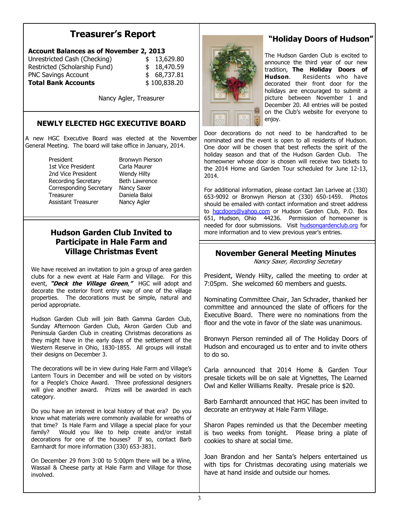# **Treasurer's Report**

| <b>Account Balances as of November 2, 2013</b> |  |              |
|------------------------------------------------|--|--------------|
| Unrestricted Cash (Checking)                   |  | \$13,629.80  |
| Restricted (Scholarship Fund)                  |  | \$18,470.59  |
| <b>PNC Savings Account</b>                     |  | \$68,737.81  |
| <b>Total Bank Accounts</b>                     |  | \$100,838.20 |

Nancy Agler, Treasurer

#### **NEWLY ELECTED HGC EXECUTIVE BOARD**

A new HGC Executive Board was elected at the November General Meeting. The board will take office in January, 2014.

> President Bronwyn Pierson 1st Vice President Carla Maurer 2nd Vice President Wendy Hilty Recording Secretary Beth Lawrence Corresponding Secretary Nancy Saxer Treasurer Daniela Baloi Assistant Treasurer Nancy Agler

# **Participate in Hale Farm and**

We have received an invitation to join a group of area garden clubs for a new event at Hale Farm and Village. For this event, **"Deck the Village Green**,**"** HGC will adopt and decorate the exterior front entry way of one of the village properties. The decorations must be simple, natural and period appropriate.

Hudson Garden Club will join Bath Gamma Garden Club, Sunday Afternoon Garden Club, Akron Garden Club and Peninsula Garden Club in creating Christmas decorations as they might have in the early days of the settlement of the Western Reserve in Ohio, 1830-1855. All groups will install their designs on December 3.

The decorations will be in view during Hale Farm and Village's Lantern Tours in December and will be voted on by visitors for a People's Choice Award. Three professional designers will give another award. Prizes will be awarded in each category.

Do you have an interest in local history of that era? Do you know what materials were commonly available for wreaths of that time? Is Hale Farm and Village a special place for your family? Would you like to help create and/or install decorations for one of the houses? If so, contact Barb Earnhardt for more information (330) 653-3831.

On December 29 from 3:00 to 5:00pm there will be a Wine, Wassail & Cheese party at Hale Farm and Village for those involved.



## **"Holiday Doors of Hudson"**

The Hudson Garden Club is excited to announce the third year of our new tradition, **The Holiday Doors of Hudson**. Residents who have decorated their front door for the holidays are encouraged to submit a picture between November 1 and December 20. All entries will be posted on the Club's website for everyone to enjoy.

Door decorations do not need to be handcrafted to be nominated and the event is open to all residents of Hudson. One door will be chosen that best reflects the spirit of the holiday season and that of the Hudson Garden Club. The homeowner whose door is chosen will receive two tickets to the 2014 Home and Garden Tour scheduled for June 12-13, 2014.

For additional information, please contact Jan Larivee at (330) 653-9092 or Bronwyn Pierson at (330) 650-1459. Photos should be emailed with contact information and street address to [hgcdoors@yahoo.com](mailto:hgcdoors@yahoo.com) or Hudson Garden Club, P.O. Box 651, Hudson, Ohio 44236. Permission of homeowner is needed for door submissions. Visit <hudsongardenclub.org> for **Hudson Garden Club Invited to notingly** more information and to view previous year's entries.

# **Village Christmas Event November General Meeting Minutes**

Nancy Saxer, Recording Secretary

President, Wendy Hilty, called the meeting to order at 7:05pm. She welcomed 60 members and guests.

Nominating Committee Chair, Jan Schrader, thanked her committee and announced the slate of officers for the Executive Board. There were no nominations from the floor and the vote in favor of the slate was unanimous.

Bronwyn Pierson reminded all of The Holiday Doors of Hudson and encouraged us to enter and to invite others to do so.

Carla announced that 2014 Home & Garden Tour presale tickets will be on sale at Vignettes, The Learned Owl and Keller Williams Realty. Presale price is \$20.

Barb Earnhardt announced that HGC has been invited to decorate an entryway at Hale Farm Village.

Sharon Papes reminded us that the December meeting is two weeks from tonight. Please bring a plate of cookies to share at social time.

Joan Brandon and her Santa's helpers entertained us with tips for Christmas decorating using materials we have at hand inside and outside our homes.